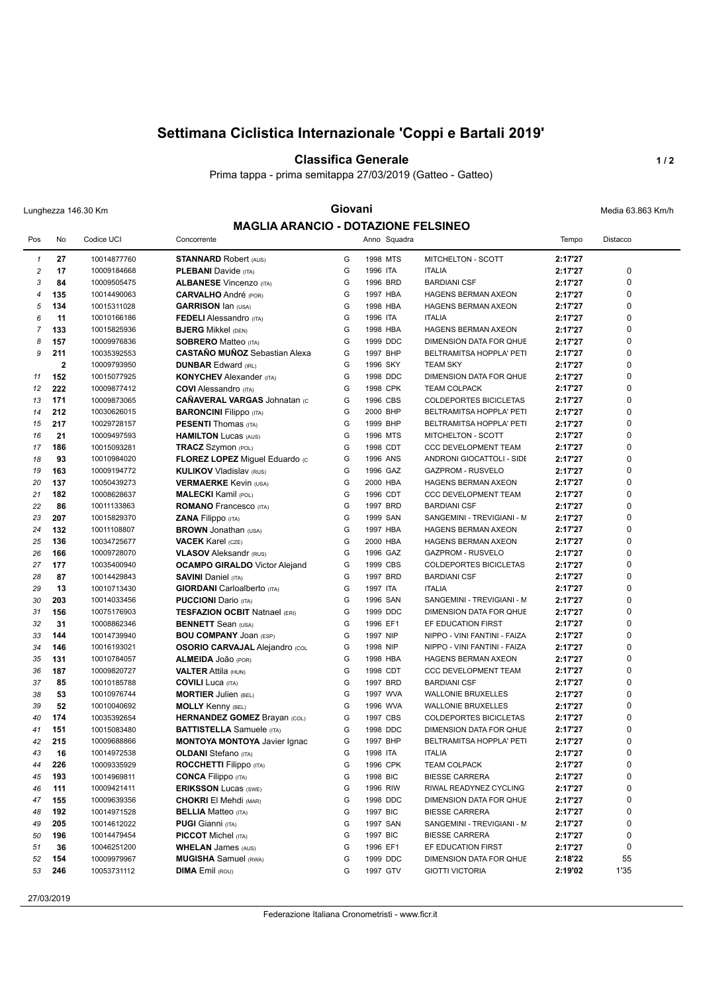# **Settimana Ciclistica Internazionale 'Coppi e Bartali 2019'**

#### **Classifica Generale 1/2**

Prima tappa - prima semitappa 27/03/2019 (Gatteo - Gatteo)

### Lunghezza 146.30 Km **Giovani Giovani Giovani** Media 63.863 Km/h **MAGLIA ARANCIO - DOTAZIONE FELSINEO**

| <b>MAGLIA ARANCIO - DOTAZIONE FELSINEO</b> |                |                            |                                       |        |                      |                                                            |                    |                 |  |  |
|--------------------------------------------|----------------|----------------------------|---------------------------------------|--------|----------------------|------------------------------------------------------------|--------------------|-----------------|--|--|
| Pos                                        | No             | Codice UCI                 | Concorrente                           |        | Anno Squadra         |                                                            | Tempo              | <b>Distacco</b> |  |  |
| $\mathbf{1}$                               | 27             | 10014877760                | <b>STANNARD Robert (AUS)</b>          | G      | 1998 MTS             | <b>MITCHELTON - SCOTT</b>                                  | 2:17'27            |                 |  |  |
| $\overline{\mathbf{c}}$                    | 17             | 10009184668                | <b>PLEBANI</b> Davide (ITA)           | G      | 1996 ITA             | <b>ITALIA</b>                                              | 2:17'27            | 0               |  |  |
| 3                                          | 84             | 10009505475                | <b>ALBANESE Vincenzo (ITA)</b>        | G      | 1996 BRD             | <b>BARDIANI CSF</b>                                        | 2:17'27            | 0               |  |  |
| 4                                          | 135            | 10014490063                | <b>CARVALHO</b> André (POR)           | G      | 1997 HBA             | <b>HAGENS BERMAN AXEON</b>                                 | 2:17'27            | 0               |  |  |
| 5                                          | 134            | 10015311028                | <b>GARRISON Ian (USA)</b>             | G      | 1998 HBA             | <b>HAGENS BERMAN AXEON</b>                                 | 2:17'27            | 0               |  |  |
| 6                                          | 11             | 10010166186                | <b>FEDELI</b> Alessandro (ITA)        | G      | 1996 ITA             | <b>ITALIA</b>                                              | 2:17'27            | 0               |  |  |
| $\overline{7}$                             | 133            | 10015825936                | <b>BJERG Mikkel (DEN)</b>             | G      | 1998 HBA             | <b>HAGENS BERMAN AXEON</b>                                 | 2:17'27            | 0               |  |  |
| 8                                          | 157            | 10009976836                | <b>SOBRERO Matteo (ITA)</b>           | G      | 1999 DDC             | DIMENSION DATA FOR QHUE                                    | 2:17'27            | 0               |  |  |
| 9                                          | 211            | 10035392553                | <b>CASTAÑO MUÑOZ</b> Sebastian Alexa  | G      | 1997 BHP             | BELTRAMITSA HOPPLA' PETI                                   | 2:17'27            | 0               |  |  |
|                                            | $\overline{2}$ | 10009793950                | <b>DUNBAR Edward (IRL)</b>            | G      | 1996 SKY             | <b>TEAM SKY</b>                                            | 2:17'27            | 0               |  |  |
| 11                                         | 152            | 10015077925                | <b>KONYCHEV</b> Alexander (ITA)       | G      | 1998 DDC             | DIMENSION DATA FOR QHUE                                    | 2:17'27            | 0               |  |  |
| 12                                         | 222            | 10009877412                | <b>COVI</b> Alessandro (ITA)          | G      | 1998 CPK             | <b>TEAM COLPACK</b>                                        | 2:17'27            | 0               |  |  |
| 13                                         | 171            | 10009873065                | <b>CAÑAVERAL VARGAS Johnatan (c)</b>  | G      | 1996 CBS             | <b>COLDEPORTES BICICLETAS</b>                              | 2:17'27            | 0               |  |  |
| 14                                         | 212            | 10030626015                | <b>BARONCINI</b> Filippo (ITA)        | G      | 2000 BHP             | BELTRAMITSA HOPPLA' PETI                                   | 2:17'27            | 0               |  |  |
| 15                                         | 217            | 10029728157                | <b>PESENTI</b> Thomas (ITA)           | G      | 1999 BHP             | BELTRAMITSA HOPPLA' PETI                                   | 2:17'27            | 0               |  |  |
| 16                                         | 21             | 10009497593                | <b>HAMILTON Lucas (AUS)</b>           | G      | 1996 MTS             | MITCHELTON - SCOTT                                         | 2:17'27            | 0               |  |  |
| 17                                         | 186            | 10015093281                | <b>TRACZ Szymon (POL)</b>             | G      | 1998 CDT             | <b>CCC DEVELOPMENT TEAM</b>                                | 2:17'27            | 0               |  |  |
| 18                                         | 93             | 10010984020                | FLOREZ LOPEZ Miguel Eduardo (c        | G      | 1996 ANS             | ANDRONI GIOCATTOLI - SIDE                                  | 2:17'27            | 0               |  |  |
| 19                                         | 163            | 10009194772                | <b>KULIKOV Vladislav (RUS)</b>        | G      | 1996 GAZ             | GAZPROM - RUSVELO                                          | 2:17'27            | 0               |  |  |
| 20                                         | 137            | 10050439273                | <b>VERMAERKE Kevin (USA)</b>          | G      | 2000 HBA             | <b>HAGENS BERMAN AXEON</b>                                 | 2:17'27            | 0               |  |  |
| 21                                         | 182            | 10008628637                | <b>MALECKI Kamil (POL)</b>            | G      | 1996 CDT             | <b>CCC DEVELOPMENT TEAM</b>                                | 2:17'27            | 0               |  |  |
| 22                                         | 86             | 10011133863                | <b>ROMANO</b> Francesco (ITA)         | G      | 1997 BRD             | <b>BARDIANI CSF</b>                                        | 2:17'27            | 0               |  |  |
| 23                                         | 207            | 10015829370                | ZANA Filippo (ITA)                    | G      | 1999 SAN             | SANGEMINI - TREVIGIANI - M                                 | 2:17'27            | 0               |  |  |
| 24                                         | 132            | 10011108807                | <b>BROWN</b> Jonathan (USA)           | G      | 1997 HBA             | HAGENS BERMAN AXEON                                        | 2:17'27            | 0               |  |  |
| 25                                         | 136            | 10034725677                | <b>VACEK Karel (CZE)</b>              | G      | 2000 HBA             | <b>HAGENS BERMAN AXEON</b>                                 | 2:17'27            | 0               |  |  |
| 26                                         | 166            | 10009728070                | <b>VLASOV</b> Aleksandr (RUS)         | G      | 1996 GAZ             | <b>GAZPROM - RUSVELO</b>                                   | 2:17'27            | 0               |  |  |
| 27                                         | 177            | 10035400940                | <b>OCAMPO GIRALDO</b> Victor Alejand  | G      | 1999 CBS             | <b>COLDEPORTES BICICLETAS</b>                              | 2:17'27            | 0               |  |  |
| 28                                         | 87             | 10014429843                | <b>SAVINI</b> Daniel (ITA)            | G      | 1997 BRD             | <b>BARDIANI CSF</b>                                        | 2:17'27            | 0               |  |  |
| 29                                         | 13             | 10010713430                |                                       | G      | 1997 ITA             | <b>ITALIA</b>                                              | 2:17'27            | 0               |  |  |
| 30                                         | 203            |                            | <b>GIORDANI</b> Carloalberto (ITA)    | G      | 1996 SAN             |                                                            | 2:17'27            | 0               |  |  |
|                                            | 156            | 10014033456                | <b>PUCCIONI</b> Dario (ITA)           | G      | 1999 DDC             | SANGEMINI - TREVIGIANI - M                                 |                    | 0               |  |  |
| 31                                         | 31             | 10075176903                | <b>TESFAZION OCBIT Natnael (ERI)</b>  | G      | 1996 EF1             | DIMENSION DATA FOR QHUE                                    | 2:17'27<br>2:17'27 | 0               |  |  |
| 32                                         |                | 10008862346                | <b>BENNETT</b> Sean (USA)             | G      |                      | EF EDUCATION FIRST                                         |                    | 0               |  |  |
| 33                                         | 144            | 10014739940                | <b>BOU COMPANY JOAN (ESP)</b>         | G      | 1997 NIP             | NIPPO - VINI FANTINI - FAIZA                               | 2:17'27            | 0               |  |  |
| 34                                         | 146            | 10016193021                | <b>OSORIO CARVAJAL Alejandro (COL</b> | G      | 1998 NIP<br>1998 HBA | NIPPO - VINI FANTINI - FAIZA<br><b>HAGENS BERMAN AXEON</b> | 2:17'27            | 0               |  |  |
| 35                                         | 131            | 10010784057                | <b>ALMEIDA JOÃO (POR)</b>             | G      |                      |                                                            | 2:17'27            | 0               |  |  |
| 36                                         | 187<br>85      | 10009820727<br>10010185788 | <b>VALTER Attila (HUN)</b>            | G      | 1998 CDT<br>1997 BRD | CCC DEVELOPMENT TEAM<br><b>BARDIANI CSF</b>                | 2:17'27            | 0               |  |  |
| 37                                         |                |                            | <b>COVILI</b> Luca (ITA)              |        |                      |                                                            | 2:17'27            | 0               |  |  |
| 38                                         | 53             | 10010976744                | <b>MORTIER Julien (BEL)</b>           | G<br>G | 1997 WVA             | <b>WALLONIE BRUXELLES</b>                                  | 2:17'27            | 0               |  |  |
| 39                                         | 52             | 10010040692                | <b>MOLLY Kenny (BEL)</b>              |        | 1996 WVA             | <b>WALLONIE BRUXELLES</b>                                  | 2:17'27            | 0               |  |  |
| 40                                         | 174            | 10035392654                | HERNANDEZ GOMEZ Brayan (COL)          | G      | 1997 CBS             | <b>COLDEPORTES BICICLETAS</b>                              | 2:17'27            | 0               |  |  |
| 41                                         | 151            | 10015083480                | <b>BATTISTELLA</b> Samuele (ITA)      | G      | 1998 DDC             | DIMENSION DATA FOR QHUE                                    | 2:17'27            |                 |  |  |
| 42                                         | 215            | 10009688866                | <b>MONTOYA MONTOYA</b> Javier Ignac   | G      | 1997 BHP             | BELTRAMITSA HOPPLA' PETI                                   | 2:17'27            | 0               |  |  |
| 43                                         | 16             | 10014972538                | <b>OLDANI</b> Stefano (ITA)           | G      | 1998 ITA             | <b>ITALIA</b>                                              | 2:17'27            | 0               |  |  |
| 44                                         | 226            | 10009335929                | <b>ROCCHETTI Filippo</b> (ITA)        | G      | 1996 CPK             | <b>TEAM COLPACK</b>                                        | 2:17'27            | 0               |  |  |
| 45                                         | 193            | 10014969811                | <b>CONCA Filippo</b> (ITA)            | G      | 1998 BIC             | <b>BIESSE CARRERA</b>                                      | 2:17'27            | 0               |  |  |
| 46                                         | 111            | 10009421411                | <b>ERIKSSON Lucas (SWE)</b>           | G      | 1996 RIW             | RIWAL READYNEZ CYCLING                                     | 2:17'27            | 0               |  |  |
| 47                                         | 155            | 10009639356                | <b>CHOKRI El Mehdi (MAR)</b>          | G      | 1998 DDC             | DIMENSION DATA FOR QHUE                                    | 2:17'27            | 0               |  |  |
| 48                                         | 192            | 10014971528                | <b>BELLIA Matteo (ITA)</b>            | G      | 1997 BIC             | <b>BIESSE CARRERA</b>                                      | 2:17'27            | 0               |  |  |
| 49                                         | 205            | 10014612022                | <b>PUGI</b> Gianni (ITA)              | G      | 1997 SAN             | SANGEMINI - TREVIGIANI - M                                 | 2:17'27            | 0               |  |  |
| 50                                         | 196            | 10014479454                | <b>PICCOT</b> Michel (ITA)            | G      | 1997 BIC             | <b>BIESSE CARRERA</b>                                      | 2:17'27            | 0               |  |  |
| 51                                         | 36             | 10046251200                | <b>WHELAN</b> James (AUS)             | G      | 1996 EF1             | EF EDUCATION FIRST                                         | 2:17'27            | 0               |  |  |
| 52                                         | 154            | 10009979967                | <b>MUGISHA</b> Samuel (RWA)           | G      | 1999 DDC             | DIMENSION DATA FOR QHUE                                    | 2:18'22            | 55              |  |  |
| 53                                         | 246            | 10053731112                | <b>DIMA</b> Emil (ROU)                | G      | 1997 GTV             | <b>GIOTTI VICTORIA</b>                                     | 2:19'02            | 1'35            |  |  |
|                                            |                |                            |                                       |        |                      |                                                            |                    |                 |  |  |